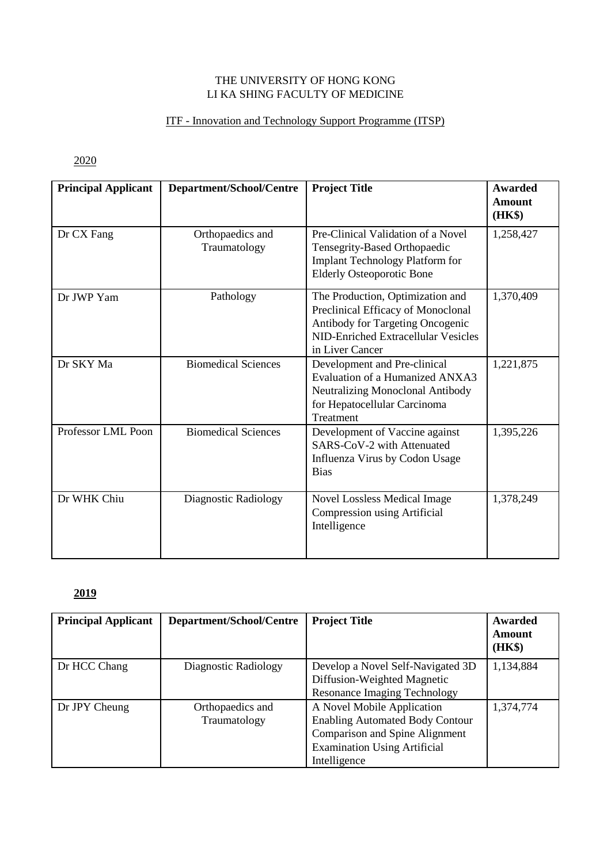#### THE UNIVERSITY OF HONG KONG LI KA SHING FACULTY OF MEDICINE

#### ITF - Innovation and Technology Support Programme (ITSP)

2020

| <b>Principal Applicant</b> | Department/School/Centre         | <b>Project Title</b>                                                                                                                                                 | <b>Awarded</b><br><b>Amount</b><br>(HK\$) |
|----------------------------|----------------------------------|----------------------------------------------------------------------------------------------------------------------------------------------------------------------|-------------------------------------------|
| Dr CX Fang                 | Orthopaedics and<br>Traumatology | Pre-Clinical Validation of a Novel<br>Tensegrity-Based Orthopaedic<br><b>Implant Technology Platform for</b><br><b>Elderly Osteoporotic Bone</b>                     | 1,258,427                                 |
| Dr JWP Yam                 | Pathology                        | The Production, Optimization and<br>Preclinical Efficacy of Monoclonal<br>Antibody for Targeting Oncogenic<br>NID-Enriched Extracellular Vesicles<br>in Liver Cancer | 1,370,409                                 |
| Dr SKY Ma                  | <b>Biomedical Sciences</b>       | Development and Pre-clinical<br>Evaluation of a Humanized ANXA3<br>Neutralizing Monoclonal Antibody<br>for Hepatocellular Carcinoma<br>Treatment                     | 1,221,875                                 |
| Professor LML Poon         | <b>Biomedical Sciences</b>       | Development of Vaccine against<br>SARS-CoV-2 with Attenuated<br>Influenza Virus by Codon Usage<br><b>Bias</b>                                                        | 1,395,226                                 |
| Dr WHK Chiu                | Diagnostic Radiology             | <b>Novel Lossless Medical Image</b><br>Compression using Artificial<br>Intelligence                                                                                  | 1,378,249                                 |

| <b>Principal Applicant</b> | Department/School/Centre         | <b>Project Title</b>                                                                                                                                          | Awarded<br><b>Amount</b><br>(HK\$) |
|----------------------------|----------------------------------|---------------------------------------------------------------------------------------------------------------------------------------------------------------|------------------------------------|
| Dr HCC Chang               | Diagnostic Radiology             | Develop a Novel Self-Navigated 3D<br>Diffusion-Weighted Magnetic<br><b>Resonance Imaging Technology</b>                                                       | 1,134,884                          |
| Dr JPY Cheung              | Orthopaedics and<br>Traumatology | A Novel Mobile Application<br><b>Enabling Automated Body Contour</b><br>Comparison and Spine Alignment<br><b>Examination Using Artificial</b><br>Intelligence | 1,374,774                          |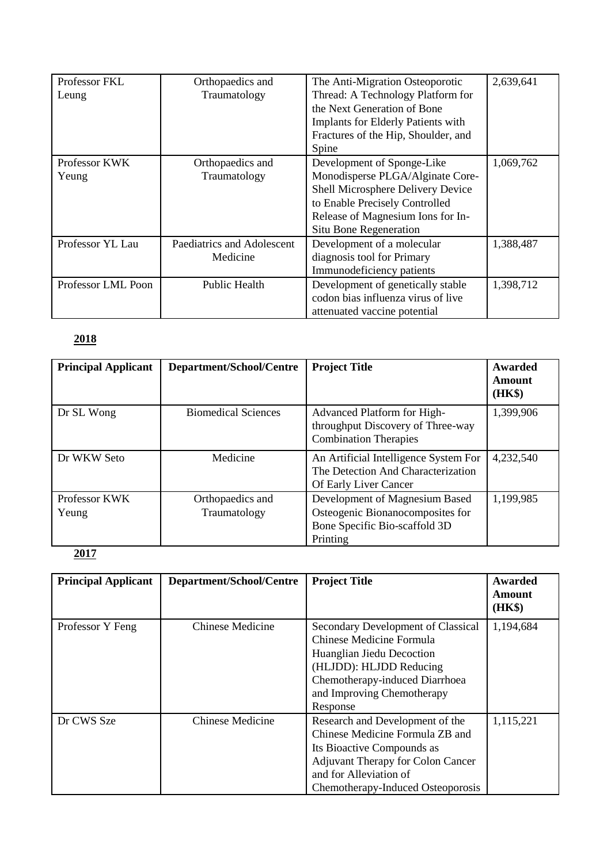| Professor FKL      | Orthopaedics and           | The Anti-Migration Osteoporotic           | 2,639,641 |
|--------------------|----------------------------|-------------------------------------------|-----------|
| Leung              | Traumatology               | Thread: A Technology Platform for         |           |
|                    |                            | the Next Generation of Bone               |           |
|                    |                            | <b>Implants for Elderly Patients with</b> |           |
|                    |                            | Fractures of the Hip, Shoulder, and       |           |
|                    |                            | Spine                                     |           |
| Professor KWK      | Orthopaedics and           | Development of Sponge-Like                | 1,069,762 |
| Yeung              | Traumatology               | Monodisperse PLGA/Alginate Core-          |           |
|                    |                            | Shell Microsphere Delivery Device         |           |
|                    |                            | to Enable Precisely Controlled            |           |
|                    |                            | Release of Magnesium Ions for In-         |           |
|                    |                            | Situ Bone Regeneration                    |           |
| Professor YL Lau   | Paediatrics and Adolescent | Development of a molecular                | 1,388,487 |
|                    | Medicine                   | diagnosis tool for Primary                |           |
|                    |                            | Immunodeficiency patients                 |           |
| Professor LML Poon | Public Health              | Development of genetically stable         | 1,398,712 |
|                    |                            | codon bias influenza virus of live        |           |
|                    |                            | attenuated vaccine potential              |           |

| <b>Principal Applicant</b> | Department/School/Centre         | <b>Project Title</b>                                                                                            | Awarded<br>Amount<br>(HK\$) |
|----------------------------|----------------------------------|-----------------------------------------------------------------------------------------------------------------|-----------------------------|
| Dr SL Wong                 | <b>Biomedical Sciences</b>       | Advanced Platform for High-<br>throughput Discovery of Three-way<br><b>Combination Therapies</b>                | 1,399,906                   |
| Dr WKW Seto                | Medicine                         | An Artificial Intelligence System For<br>The Detection And Characterization<br>Of Early Liver Cancer            | 4,232,540                   |
| Professor KWK<br>Yeung     | Orthopaedics and<br>Traumatology | Development of Magnesium Based<br>Osteogenic Bionanocomposites for<br>Bone Specific Bio-scaffold 3D<br>Printing | 1,199,985                   |

| <b>Principal Applicant</b> | Department/School/Centre | <b>Project Title</b>                                                                                                                                                                                        | Awarded<br>Amount<br>(HK\$) |
|----------------------------|--------------------------|-------------------------------------------------------------------------------------------------------------------------------------------------------------------------------------------------------------|-----------------------------|
| Professor Y Feng           | Chinese Medicine         | Secondary Development of Classical<br>Chinese Medicine Formula<br>Huanglian Jiedu Decoction<br>(HLJDD): HLJDD Reducing<br>Chemotherapy-induced Diarrhoea<br>and Improving Chemotherapy<br>Response          | 1,194,684                   |
| Dr CWS Sze                 | <b>Chinese Medicine</b>  | Research and Development of the<br>Chinese Medicine Formula ZB and<br>Its Bioactive Compounds as<br><b>Adjuvant Therapy for Colon Cancer</b><br>and for Alleviation of<br>Chemotherapy-Induced Osteoporosis | 1,115,221                   |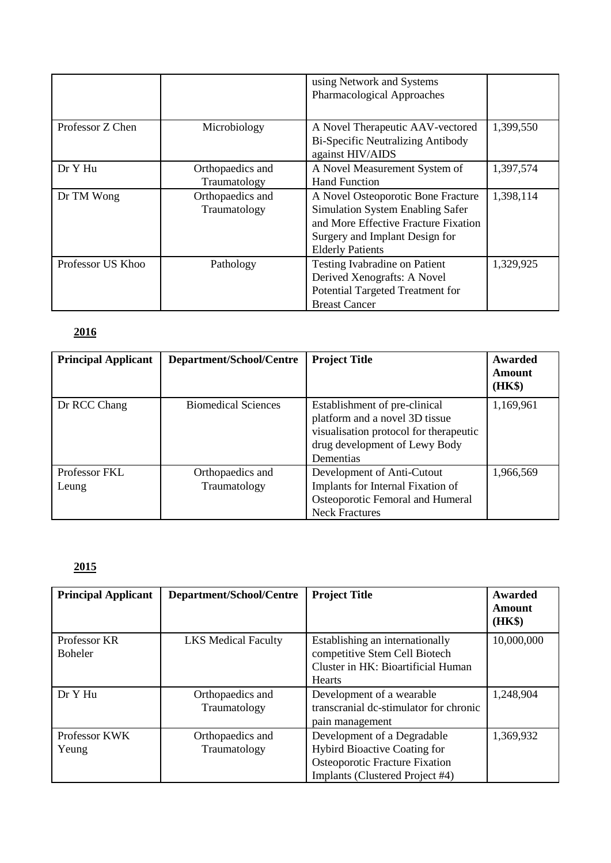|                   |                  | using Network and Systems<br>Pharmacological Approaches |           |
|-------------------|------------------|---------------------------------------------------------|-----------|
|                   |                  |                                                         |           |
| Professor Z Chen  | Microbiology     | A Novel Therapeutic AAV-vectored                        | 1,399,550 |
|                   |                  | <b>Bi-Specific Neutralizing Antibody</b>                |           |
|                   |                  | against HIV/AIDS                                        |           |
| Dr Y Hu           | Orthopaedics and | A Novel Measurement System of                           | 1,397,574 |
|                   | Traumatology     | <b>Hand Function</b>                                    |           |
| Dr TM Wong        | Orthopaedics and | A Novel Osteoporotic Bone Fracture                      | 1,398,114 |
|                   | Traumatology     | Simulation System Enabling Safer                        |           |
|                   |                  | and More Effective Fracture Fixation                    |           |
|                   |                  | Surgery and Implant Design for                          |           |
|                   |                  | <b>Elderly Patients</b>                                 |           |
| Professor US Khoo | Pathology        | Testing Ivabradine on Patient                           | 1,329,925 |
|                   |                  | Derived Xenografts: A Novel                             |           |
|                   |                  | Potential Targeted Treatment for                        |           |
|                   |                  | <b>Breast Cancer</b>                                    |           |

| <b>Principal Applicant</b> | Department/School/Centre         | <b>Project Title</b>                                                                                                                                    | Awarded<br>Amount<br>(HK\$) |
|----------------------------|----------------------------------|---------------------------------------------------------------------------------------------------------------------------------------------------------|-----------------------------|
| Dr RCC Chang               | <b>Biomedical Sciences</b>       | Establishment of pre-clinical<br>platform and a novel 3D tissue<br>visualisation protocol for therapeutic<br>drug development of Lewy Body<br>Dementias | 1,169,961                   |
| Professor FKL<br>Leung     | Orthopaedics and<br>Traumatology | Development of Anti-Cutout<br>Implants for Internal Fixation of<br>Osteoporotic Femoral and Humeral<br><b>Neck Fractures</b>                            | 1,966,569                   |

| <b>Principal Applicant</b>     | Department/School/Centre         | <b>Project Title</b>                                                                                                                           | Awarded<br>Amount<br>(HK\$) |
|--------------------------------|----------------------------------|------------------------------------------------------------------------------------------------------------------------------------------------|-----------------------------|
| Professor KR<br><b>Boheler</b> | <b>LKS Medical Faculty</b>       | Establishing an internationally<br>competitive Stem Cell Biotech<br>Cluster in HK: Bioartificial Human<br><b>Hearts</b>                        | 10,000,000                  |
| Dr Y Hu                        | Orthopaedics and<br>Traumatology | Development of a wearable<br>transcranial dc-stimulator for chronic<br>pain management                                                         | 1,248,904                   |
| Professor KWK<br>Yeung         | Orthopaedics and<br>Traumatology | Development of a Degradable<br><b>Hybird Bioactive Coating for</b><br><b>Osteoporotic Fracture Fixation</b><br>Implants (Clustered Project #4) | 1,369,932                   |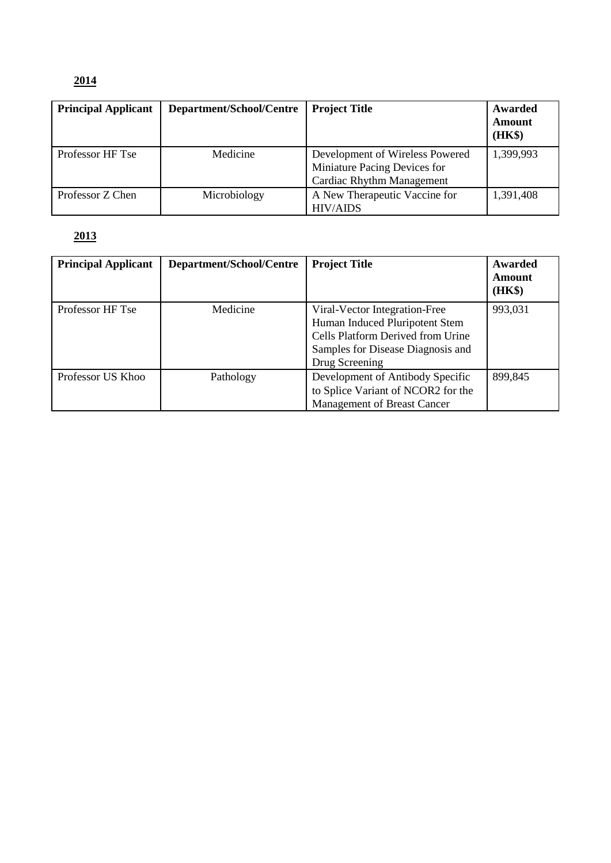| <b>Principal Applicant</b> | Department/School/Centre | <b>Project Title</b>                                                                                | Awarded          |
|----------------------------|--------------------------|-----------------------------------------------------------------------------------------------------|------------------|
|                            |                          |                                                                                                     | Amount<br>(HK\$) |
| Professor HF Tse           | Medicine                 | Development of Wireless Powered<br>Miniature Pacing Devices for<br><b>Cardiac Rhythm Management</b> | 1,399,993        |
| Professor Z Chen           | Microbiology             | A New Therapeutic Vaccine for<br><b>HIV/AIDS</b>                                                    | 1,391,408        |

| <b>Principal Applicant</b> | Department/School/Centre | <b>Project Title</b>                                                                                                                                        | Awarded<br>Amount<br>(HK\$) |
|----------------------------|--------------------------|-------------------------------------------------------------------------------------------------------------------------------------------------------------|-----------------------------|
| Professor HF Tse           | Medicine                 | Viral-Vector Integration-Free<br>Human Induced Pluripotent Stem<br>Cells Platform Derived from Urine<br>Samples for Disease Diagnosis and<br>Drug Screening | 993,031                     |
| Professor US Khoo          | Pathology                | Development of Antibody Specific<br>to Splice Variant of NCOR2 for the<br>Management of Breast Cancer                                                       | 899,845                     |